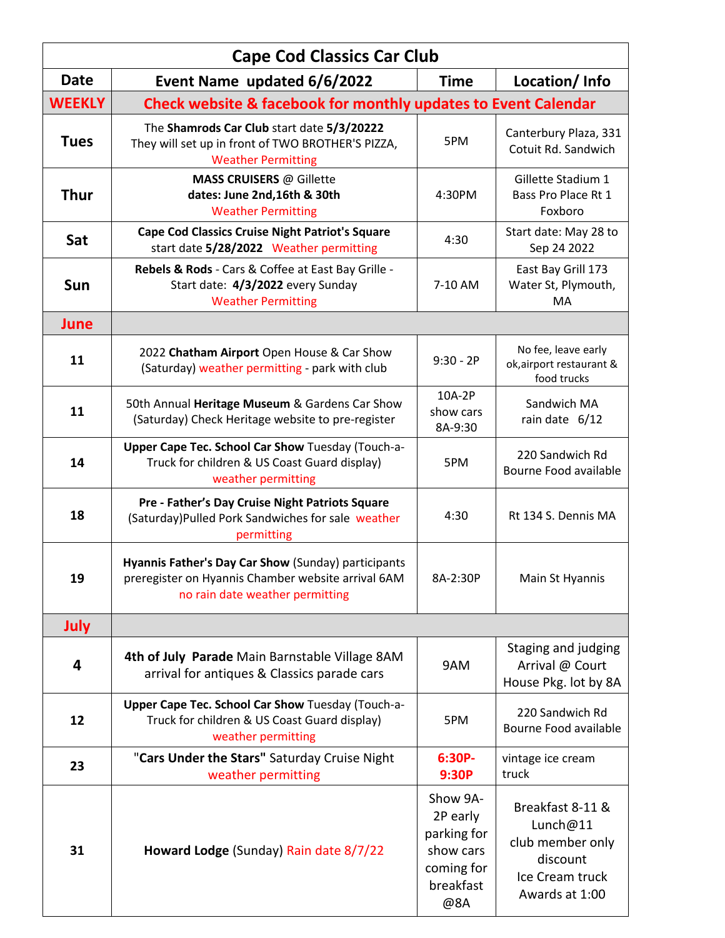| <b>Cape Cod Classics Car Club</b> |                                                                                                                                              |                                                                                    |                                                                                                   |  |
|-----------------------------------|----------------------------------------------------------------------------------------------------------------------------------------------|------------------------------------------------------------------------------------|---------------------------------------------------------------------------------------------------|--|
| <b>Date</b>                       | Event Name updated 6/6/2022                                                                                                                  | <b>Time</b>                                                                        | Location/Info                                                                                     |  |
| <b>WEEKLY</b>                     | <b>Check website &amp; facebook for monthly updates to Event Calendar</b>                                                                    |                                                                                    |                                                                                                   |  |
| <b>Tues</b>                       | The Shamrods Car Club start date 5/3/20222<br>They will set up in front of TWO BROTHER'S PIZZA,<br><b>Weather Permitting</b>                 | 5PM                                                                                | Canterbury Plaza, 331<br>Cotuit Rd. Sandwich                                                      |  |
| <b>Thur</b>                       | <b>MASS CRUISERS @ Gillette</b><br>dates: June 2nd, 16th & 30th<br><b>Weather Permitting</b>                                                 | 4:30PM                                                                             | Gillette Stadium 1<br>Bass Pro Place Rt 1<br>Foxboro                                              |  |
| Sat                               | <b>Cape Cod Classics Cruise Night Patriot's Square</b><br>start date 5/28/2022 Weather permitting                                            | 4:30                                                                               | Start date: May 28 to<br>Sep 24 2022                                                              |  |
| Sun                               | Rebels & Rods - Cars & Coffee at East Bay Grille -<br>Start date: 4/3/2022 every Sunday<br><b>Weather Permitting</b>                         | 7-10 AM                                                                            | East Bay Grill 173<br>Water St, Plymouth,<br><b>MA</b>                                            |  |
| <b>June</b>                       |                                                                                                                                              |                                                                                    |                                                                                                   |  |
| 11                                | 2022 Chatham Airport Open House & Car Show<br>(Saturday) weather permitting - park with club                                                 | $9:30 - 2P$                                                                        | No fee, leave early<br>ok, airport restaurant &<br>food trucks                                    |  |
| 11                                | 50th Annual Heritage Museum & Gardens Car Show<br>(Saturday) Check Heritage website to pre-register                                          | 10A-2P<br>show cars<br>8A-9:30                                                     | Sandwich MA<br>rain date 6/12                                                                     |  |
| 14                                | Upper Cape Tec. School Car Show Tuesday (Touch-a-<br>Truck for children & US Coast Guard display)<br>weather permitting                      | 5PM                                                                                | 220 Sandwich Rd<br>Bourne Food available                                                          |  |
| 18                                | Pre - Father's Day Cruise Night Patriots Square<br>(Saturday)Pulled Pork Sandwiches for sale weather<br>permitting                           | 4:30                                                                               | Rt 134 S. Dennis MA                                                                               |  |
| 19                                | Hyannis Father's Day Car Show (Sunday) participants<br>preregister on Hyannis Chamber website arrival 6AM<br>no rain date weather permitting | 8A-2:30P                                                                           | Main St Hyannis                                                                                   |  |
| July                              |                                                                                                                                              |                                                                                    |                                                                                                   |  |
| 4                                 | 4th of July Parade Main Barnstable Village 8AM<br>arrival for antiques & Classics parade cars                                                | 9AM                                                                                | Staging and judging<br>Arrival @ Court<br>House Pkg. lot by 8A                                    |  |
| 12                                | Upper Cape Tec. School Car Show Tuesday (Touch-a-<br>Truck for children & US Coast Guard display)<br>weather permitting                      | 5PM                                                                                | 220 Sandwich Rd<br>Bourne Food available                                                          |  |
| 23                                | "Cars Under the Stars" Saturday Cruise Night<br>weather permitting                                                                           | 6:30P-<br>9:30P                                                                    | vintage ice cream<br>truck                                                                        |  |
| 31                                | Howard Lodge (Sunday) Rain date 8/7/22                                                                                                       | Show 9A-<br>2P early<br>parking for<br>show cars<br>coming for<br>breakfast<br>@8A | Breakfast 8-11 &<br>Lunch@11<br>club member only<br>discount<br>Ice Cream truck<br>Awards at 1:00 |  |